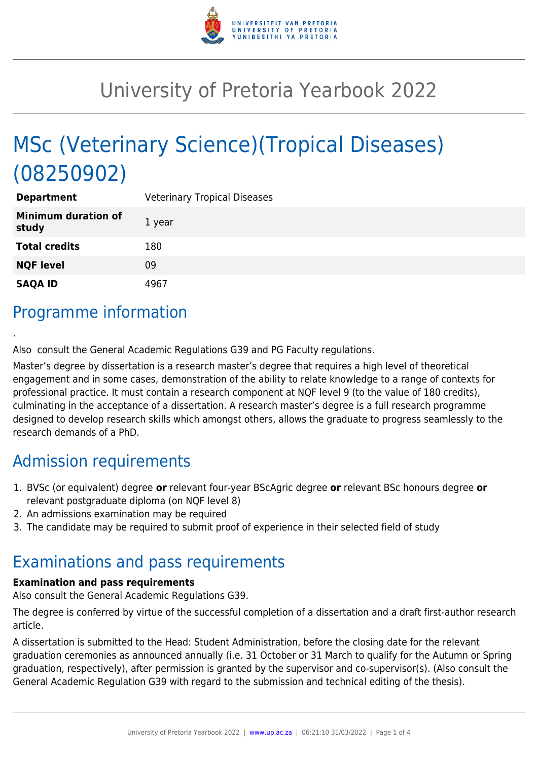

# University of Pretoria Yearbook 2022

# MSc (Veterinary Science)(Tropical Diseases) (08250902)

| <b>Department</b>                   | <b>Veterinary Tropical Diseases</b> |
|-------------------------------------|-------------------------------------|
| <b>Minimum duration of</b><br>study | 1 year                              |
| <b>Total credits</b>                | 180                                 |
| <b>NQF level</b>                    | 09                                  |
| <b>SAQA ID</b>                      | 4967                                |

## Programme information

.

Also consult the General Academic Regulations G39 and PG Faculty regulations.

Master's degree by dissertation is a research master's degree that requires a high level of theoretical engagement and in some cases, demonstration of the ability to relate knowledge to a range of contexts for professional practice. It must contain a research component at NQF level 9 (to the value of 180 credits), culminating in the acceptance of a dissertation. A research master's degree is a full research programme designed to develop research skills which amongst others, allows the graduate to progress seamlessly to the research demands of a PhD.

### Admission requirements

- 1. BVSc (or equivalent) degree **or** relevant four-year BScAgric degree **or** relevant BSc honours degree **or** relevant postgraduate diploma (on NQF level 8)
- 2. An admissions examination may be required
- 3. The candidate may be required to submit proof of experience in their selected field of study

### Examinations and pass requirements

#### **Examination and pass requirements**

Also consult the General Academic Regulations G39.

The degree is conferred by virtue of the successful completion of a dissertation and a draft first-author research article.

A dissertation is submitted to the Head: Student Administration, before the closing date for the relevant graduation ceremonies as announced annually (i.e. 31 October or 31 March to qualify for the Autumn or Spring graduation, respectively), after permission is granted by the supervisor and co-supervisor(s). (Also consult the General Academic Regulation G39 with regard to the submission and technical editing of the thesis).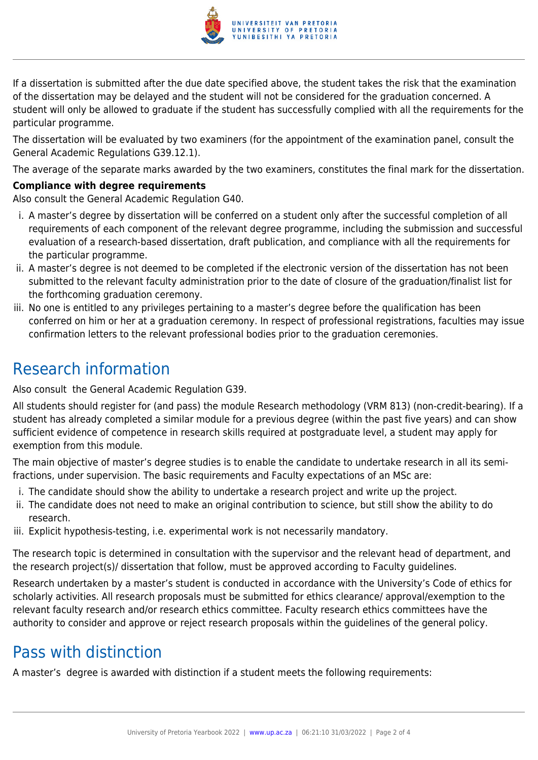

If a dissertation is submitted after the due date specified above, the student takes the risk that the examination of the dissertation may be delayed and the student will not be considered for the graduation concerned. A student will only be allowed to graduate if the student has successfully complied with all the requirements for the particular programme.

The dissertation will be evaluated by two examiners (for the appointment of the examination panel, consult the General Academic Regulations G39.12.1).

The average of the separate marks awarded by the two examiners, constitutes the final mark for the dissertation.

#### **Compliance with degree requirements**

Also consult the General Academic Regulation G40.

- i. A master's degree by dissertation will be conferred on a student only after the successful completion of all requirements of each component of the relevant degree programme, including the submission and successful evaluation of a research-based dissertation, draft publication, and compliance with all the requirements for the particular programme.
- ii. A master's degree is not deemed to be completed if the electronic version of the dissertation has not been submitted to the relevant faculty administration prior to the date of closure of the graduation/finalist list for the forthcoming graduation ceremony.
- iii. No one is entitled to any privileges pertaining to a master's degree before the qualification has been conferred on him or her at a graduation ceremony. In respect of professional registrations, faculties may issue confirmation letters to the relevant professional bodies prior to the graduation ceremonies.

### Research information

Also consult the General Academic Regulation G39.

All students should register for (and pass) the module Research methodology (VRM 813) (non-credit-bearing). If a student has already completed a similar module for a previous degree (within the past five years) and can show sufficient evidence of competence in research skills required at postgraduate level, a student may apply for exemption from this module.

The main objective of master's degree studies is to enable the candidate to undertake research in all its semifractions, under supervision. The basic requirements and Faculty expectations of an MSc are:

- i. The candidate should show the ability to undertake a research project and write up the project.
- ii. The candidate does not need to make an original contribution to science, but still show the ability to do research.
- iii. Explicit hypothesis-testing, i.e. experimental work is not necessarily mandatory.

The research topic is determined in consultation with the supervisor and the relevant head of department, and the research project(s)/ dissertation that follow, must be approved according to Faculty guidelines.

Research undertaken by a master's student is conducted in accordance with the University's Code of ethics for scholarly activities. All research proposals must be submitted for ethics clearance/ approval/exemption to the relevant faculty research and/or research ethics committee. Faculty research ethics committees have the authority to consider and approve or reject research proposals within the guidelines of the general policy.

## Pass with distinction

A master's degree is awarded with distinction if a student meets the following requirements: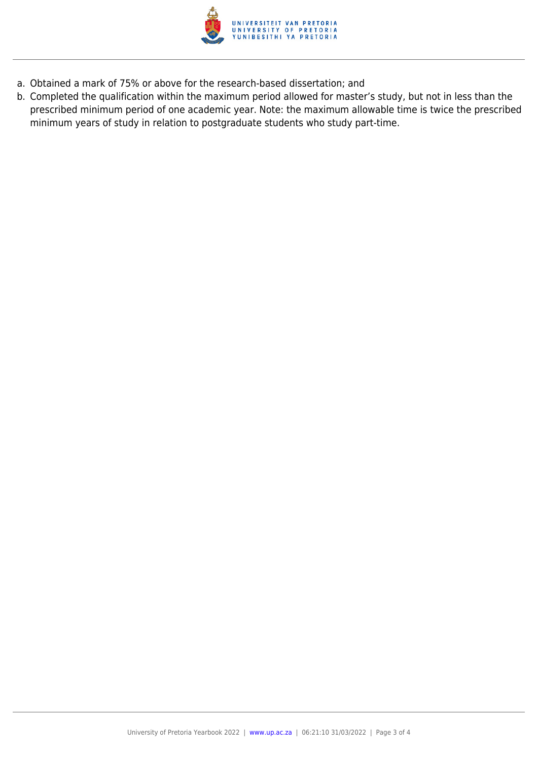

- a. Obtained a mark of 75% or above for the research-based dissertation; and
- b. Completed the qualification within the maximum period allowed for master's study, but not in less than the prescribed minimum period of one academic year. Note: the maximum allowable time is twice the prescribed minimum years of study in relation to postgraduate students who study part-time.